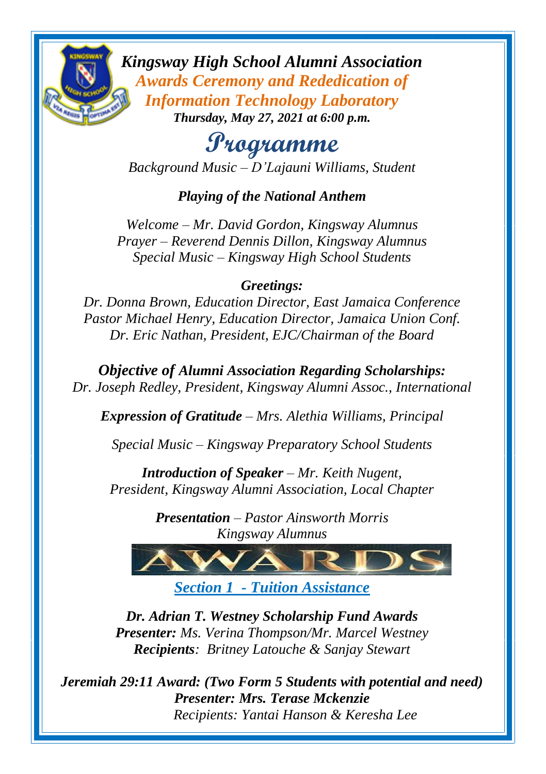

*Kingsway High School Alumni Association Awards Ceremony and Rededication of Information Technology Laboratory Thursday, May 27, 2021 at 6:00 p.m.*

# **Programme**

*Background Music – D'Lajauni Williams, Student*

### *Playing of the National Anthem*

*Welcome – Mr. David Gordon, Kingsway Alumnus Prayer – Reverend Dennis Dillon, Kingsway Alumnus Special Music – Kingsway High School Students*

#### *Greetings:*

*Dr. Donna Brown, Education Director, East Jamaica Conference Pastor Michael Henry, Education Director, Jamaica Union Conf. Dr. Eric Nathan, President, EJC/Chairman of the Board*

*Objective of Alumni Association Regarding Scholarships: Dr. Joseph Redley, President, Kingsway Alumni Assoc., International*

*Expression of Gratitude – Mrs. Alethia Williams, Principal*

*Special Music – Kingsway Preparatory School Students*

*Introduction of Speaker – Mr. Keith Nugent, President, Kingsway Alumni Association, Local Chapter*

> *Presentation – Pastor Ainsworth Morris Kingsway Alumnus*

*Section 1 - Tuition Assistance*

*Dr. Adrian T. Westney Scholarship Fund Awards Presenter: Ms. Verina Thompson/Mr. Marcel Westney Recipients: Britney Latouche & Sanjay Stewart*

*Jeremiah 29:11 Award: (Two Form 5 Students with potential and need) Presenter: Mrs. Terase Mckenzie Recipients: Yantai Hanson & Keresha Lee*